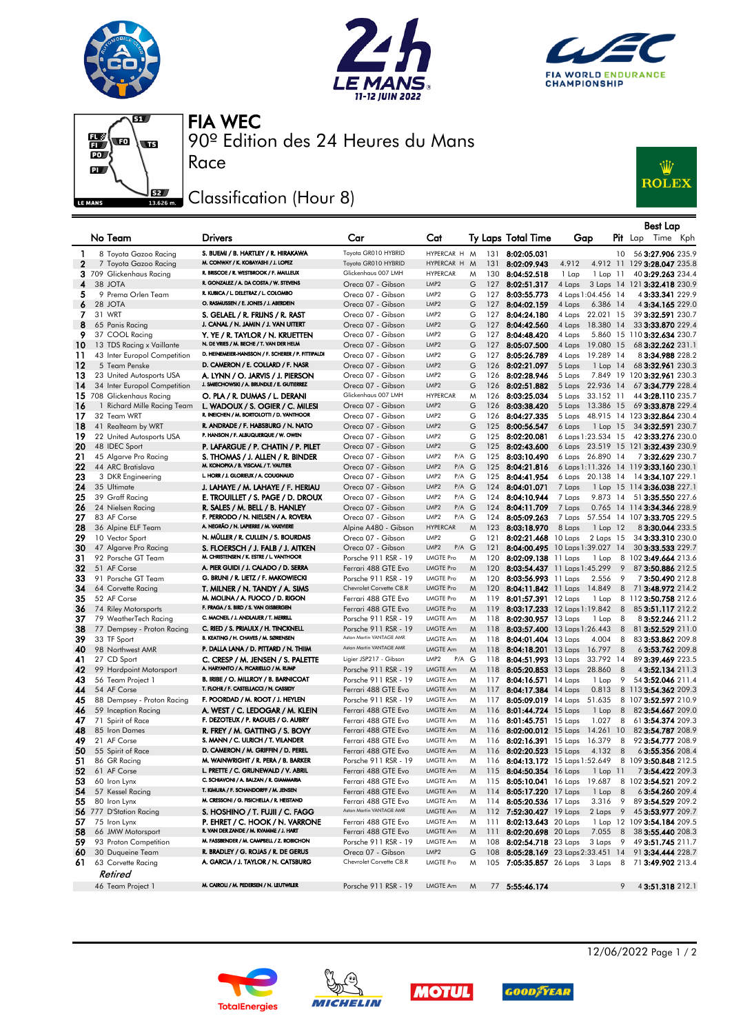







90º Edition des 24 Heures du Mans FIA WEC

## Classification (Hour 8)

Race



|              | No Team                          |                                                           | <b>Drivers</b>                                                              | Car                                          | Cat                                               |        |            | Ty Laps Total Time                                  | Gap                |                      | Best Lap<br>Pit Lap Time Kph                       |
|--------------|----------------------------------|-----------------------------------------------------------|-----------------------------------------------------------------------------|----------------------------------------------|---------------------------------------------------|--------|------------|-----------------------------------------------------|--------------------|----------------------|----------------------------------------------------|
| $\mathbf{1}$ |                                  | 8 Toyota Gazoo Racing                                     | S. BUEMI / B. HARTLEY / R. HIRAKAWA                                         | Toyota GR010 HYBRID                          | HYPERCAR H                                        | M      | 131        | 8:02:05.031                                         |                    | 10                   | 56 3:27.906 235.9                                  |
| $\mathbf{2}$ |                                  | 7 Toyota Gazoo Racing                                     | M. CONWAY / K. KOBAYASHI / J. LOPEZ                                         | Toyota GR010 HYBRID                          | HYPERCAR H                                        | M      | 131        | 8:02:09.943                                         | 4.912              |                      | 4.912 11 129 3:28.047 235.8                        |
|              |                                  | 3 709 Glickenhaus Racing                                  | R. BRISCOE / R. WESTBROOK / F. MAILLEUX                                     | Glickenhaus 007 LMH                          | <b>HYPERCAR</b>                                   | M      | 130        | 8:04:52.518                                         | 1 Lap              | $1$ Lap $11$         | 40 3:29.263 234.4                                  |
| 4            | 38 JOTA                          |                                                           | R. GONZALEZ / A. DA COSTA / W. STEVENS                                      | Oreca 07 - Gibson                            | LMP <sub>2</sub>                                  | G      | 127        | 8:02:51.317                                         | 4 Laps             |                      | 3 Laps 14 121 3:32.418 230.9                       |
| 5            |                                  | 9 Prema Orlen Team                                        | R. KUBICA / L. DELETRAZ / L. COLOMBO                                        | Oreca 07 - Gibson                            | LMP <sub>2</sub>                                  | G      |            | 127 8:03:55.773                                     | 4 Laps 1:04.456 14 |                      | 4 3:33.341 229.9                                   |
| 6            | 28 JOTA                          |                                                           | O. RASMUSSEN / E. JONES / J. ABERDEIN                                       | Oreca 07 - Gibson                            | LMP <sub>2</sub>                                  | G      | 127        | 8:04:02.159                                         | 4 Laps             | 6.386 14             | 4 3:34.165 229.0                                   |
| 7            | 31 WRT                           |                                                           | S. GELAEL / R. FRIJNS / R. RAST                                             | Oreca 07 - Gibson                            | LMP <sub>2</sub>                                  | G      | 127        | 8:04:24.180                                         | 4 Laps 22.021 15   |                      | 39 3:32.591 230.7                                  |
| 8            | 65 Panis Racing                  |                                                           | J. CANAL / N. JAMIN / J. VAN UITERT                                         | Oreca 07 - Gibson                            | LMP <sub>2</sub>                                  | G      | 127        | 8:04:42.560                                         | 4 Laps 18.380 14   |                      | 33 3:33.870 229.4                                  |
| 9            | 37 COOL Racing                   |                                                           | Y. YE / R. TAYLOR / N. KRUETTEN<br>N. DE VRIES / M. BECHE / T. VAN DER HELM | Oreca 07 - Gibson                            | LMP <sub>2</sub><br>LMP <sub>2</sub>              | G      | 127        | 8:04:48.420                                         | 4 Laps<br>4 Laps   |                      | 5.860 15 110 3:32.634 230.7                        |
| 10<br>11     |                                  | 13 TDS Racing x Vaillante<br>43 Inter Europol Competition | D. HEINEMEIER-HANSSON / F. SCHERER / P. FITTIPALDI                          | Oreca 07 - Gibson<br>Oreca 07 - Gibson       | LMP <sub>2</sub>                                  | G<br>G | 127<br>127 | 8:05:07.500<br>8:05:26.789                          | 4 Laps 19.289 14   | 19.080 15            | 68 3:32.262 231.1<br>83:34.988 228.2               |
| 12           | 5 Team Penske                    |                                                           | D. CAMERON / E. COLLARD / F. NASR                                           | Oreca 07 - Gibson                            | LMP <sub>2</sub>                                  | G      | 126        | 8:02:21.097                                         | 5 Laps             | $1$ Lap $14$         | 68 3:32.961 230.3                                  |
| 13           |                                  | 23 United Autosports USA                                  | A. LYNN / O. JARVIS / J. PIERSON                                            | Oreca 07 - Gibson                            | LMP <sub>2</sub>                                  | G      | 126        | 8:02:28.946                                         | 5 Laps             |                      | 7.849 19 120 3:32.961 230.3                        |
| 14           |                                  | 34 Inter Europol Competition                              | J. SMIECHOWSKI / A. BRUNDLE / E. GUTIERREZ                                  | Oreca 07 - Gibson                            | LMP <sub>2</sub>                                  | G      |            | 126 8:02:51.882                                     | 5 Laps 22.936      | -14                  | 67 3:34.779 228.4                                  |
|              |                                  | 15 708 Glickenhaus Racing                                 | O. PLA / R. DUMAS / L. DERANI                                               | Glickenhaus 007 LMH                          | <b>HYPERCAR</b>                                   | M      |            | 126 8:03:25.034                                     | 5 Laps 33.152 11   |                      | 44 3:28.110 235.7                                  |
| 16           |                                  | 1 Richard Mille Racing Team                               | L. WADOUX / S. OGIER / C. MILESI                                            | Oreca 07 - Gibson                            | LMP <sub>2</sub>                                  | G      | 126        | 8:03:38.420                                         | 5 Laps 13.386 15   |                      | 69 3:33.878 229.4                                  |
| 17           | 32 Team WRT                      |                                                           | R. INEICHEN / M. BORTOLOTTI / D. VANTHOOR                                   | Oreca 07 - Gibson                            | LMP <sub>2</sub>                                  | G      | 126        | 8:04:27.335                                         |                    |                      | 5 Laps 48.915 14 123 3:32.864 230.4                |
| 18           |                                  | 41 Realteam by WRT                                        | R. ANDRADE / F. HABSBURG / N. NATO                                          | Oreca 07 - Gibson                            | LMP <sub>2</sub>                                  | G      | 125        | 8:00:56.547                                         | 6 Laps             | $1$ Lap $15$         | 34 3:32.591 230.7                                  |
| 19           |                                  | 22 United Autosports USA                                  | P. HANSON / F. ALBUQUERQUE / W. OWEN                                        | Oreca 07 - Gibson                            | LMP <sub>2</sub>                                  | G      | 125        | 8:02:20.081                                         | 6 Laps 1:23.534 15 |                      | 42 3:33.276 230.0                                  |
| 20           | 48 IDEC Sport                    |                                                           | P. LAFARGUE / P. CHATIN / P. PILET                                          | Oreca 07 - Gibson                            | LMP <sub>2</sub>                                  | G      | 125        | 8:02:43.600                                         |                    |                      | 6 Laps 23.519 15 121 3:32.439 230.9                |
| 21           |                                  | 45 Algarve Pro Racing                                     | S. THOMAS / J. ALLEN / R. BINDER<br>M. KONOPKA / B. VISCAAL / T. VAUTIER    | Oreca 07 - Gibson                            | LMP <sub>2</sub><br>$P/A$ $G$                     |        | 125        | 8:03:10.490                                         | 6 Laps 26.890 14   |                      | 73:32.629 230.7                                    |
| 22           | 44 ARC Bratislava                |                                                           | L. HORR / J. GLORIEUX / A. COUGNAUD                                         | Oreca 07 - Gibson                            | LMP <sub>2</sub><br>$P/A$ $G$<br>LMP <sub>2</sub> |        |            | 125 8:04:21.816                                     |                    |                      | 6 Laps 1:11.326 14 119 3:33.160 230.1              |
| 23<br>24     | 35 Ultimate                      | 3 DKR Engineering                                         |                                                                             | Oreca 07 - Gibson<br>Oreca 07 - Gibson       | P/A G<br>LMP <sub>2</sub><br>$P/A$ $G$            |        | 125<br>124 | 8:04:41.954<br>8:04:01.071                          | 6 Laps 20.138 14   |                      | 14 3:34.107 229.1<br>15 114 3:36.038 227.1         |
| 25           | 39 Graff Racing                  |                                                           | J. LAHAYE / M. LAHAYE / F. HERIAU<br>E. TROUILLET / S. PAGE / D. DROUX      | Oreca 07 - Gibson                            | LMP <sub>2</sub><br>$P/A$ $G$                     |        | 124        | 8:04:10.944                                         | 7 Laps<br>7 Laps   | 1 Lap<br>9.873 14    | 51 3:35.550 227.6                                  |
| 26           | 24 Nielsen Racing                |                                                           | R. SALES / M. BELL / B. HANLEY                                              | Oreca 07 - Gibson                            | LMP <sub>2</sub><br>$P/A$ $G$                     |        | 124        | 8:04:11.709                                         | 7 Laps             |                      | 0.765 14 114 3:34.346 228.9                        |
| 27           | 83 AF Corse                      |                                                           | F. PERRODO / N. NIELSEN / A. ROVERA                                         | Oreca 07 - Gibson                            | LMP <sub>2</sub><br>$P/A$ $G$                     |        |            | 124 8:05:09.263                                     |                    |                      | 7 Laps 57.554 14 107 3:33.705 229.5                |
| 28           |                                  | 36 Alpine ELF Team                                        | A. NEGRÃO / N. LAPIERRE / M. VAXIVIERE                                      | Alpine A480 - Gibson                         | <b>HYPERCAR</b>                                   | M      | 123        | 8:03:18.970                                         | 8 Laps             | 1 Lap 12             | 83:30.044 233.5                                    |
| 29           | 10 Vector Sport                  |                                                           | N. MÜLLER / R. CULLEN / S. BOURDAIS                                         | Oreca 07 - Gibson                            | LMP <sub>2</sub>                                  | G      | 121        | 8:02:21.468 10 Laps                                 |                    | 2 Laps 15            | 34 3:33.310 230.0                                  |
| 30           |                                  | 47 Algarve Pro Racing                                     | S. FLOERSCH / J. FALB / J. AITKEN                                           | Oreca 07 - Gibson                            | LMP <sub>2</sub><br>$P/A$ $G$                     |        | 121        | 8:04:00.495 10 Laps 1:39.027 14                     |                    |                      | 30 3:33.533 229.7                                  |
| 31           |                                  | 92 Porsche GT Team                                        | M. CHRISTENSEN / K. ESTRE / L. VANTHOOR                                     | Porsche 911 RSR - 19                         | <b>LMGTE Pro</b>                                  | M      | 120        | 8:02:09.138 11 Laps                                 |                    | 1 Lap                | 8 102 3:49.664 213.6                               |
| 32           | 51 AF Corse                      |                                                           | A. PIER GUIDI / J. CALADO / D. SERRA                                        | Ferrari 488 GTE Evo                          | <b>LMGTE Pro</b>                                  | M      | 120        | 8:03:54.437 11 Laps 1:45.299                        |                    | 9                    | 87 3:50.886 212.5                                  |
| 33           |                                  | 91 Porsche GT Team                                        | G. BRUNI / R. LIETZ / F. MAKOWIECKI                                         | Porsche 911 RSR - 19                         | <b>LMGTE Pro</b>                                  | M      | 120        | 8:03:56.993 11 Laps                                 |                    | 2.556<br>9           | 73:50.490 212.8                                    |
| 34           | 64 Corvette Racing               |                                                           | T. MILNER / N. TANDY / A. SIMS                                              | Chevrolet Corvette C8.R                      | <b>LMGTE Pro</b>                                  | M      | 120        | $8:04:11.842$ 11 Laps                               | 14.849             | 8                    | 71 3:48.972 214.2                                  |
| 35           | 52 AF Corse                      |                                                           | M. MOLINA / A. FUOCO / D. RIGON<br>F. FRAGA / S. BIRD / S. VAN GISBERGEN    | Ferrari 488 GTE Evo                          | LMGTE Pro                                         | M      | 119        | 8:01:57.391 12 Laps                                 |                    | 1 Lap                | 8 112 3:50.758 212.6                               |
| 36<br>37     |                                  | 74 Riley Motorsports<br>79 WeatherTech Racing             | C. MACNEIL / J. ANDLAUER / T. MERRILL                                       | Ferrari 488 GTE Evo<br>Porsche 911 RSR - 19  | <b>LMGTE Pro</b><br>LMGTE Am                      | M<br>M | 119<br>118 | 8:03:17.233 12 Laps 1:19.842<br>8:02:30.957 13 Laps |                    | 8<br>8               | 85 3:51.117 212.2<br>83:52.246 211.2               |
| 38           |                                  | 77 Dempsey - Proton Racing                                | C. RIED / S. PRIAULX / H. TINCKNELL                                         | Porsche 911 RSR - 19                         | LMGTE Am                                          | M      | 118        | 8:03:57.400 13 Laps 1:26.443                        |                    | 1 Lap<br>8           | 81 3:52.529 211.0                                  |
| 39           | 33 TF Sport                      |                                                           | B. KEATING / H. CHAVES / M. SØRENSEN                                        | Aston Martin VANTAGE AMR                     | <b>LMGTE Am</b>                                   | M      | 118        | 8:04:01.404 13 Laps                                 |                    | 4.004<br>-8          | 83 3:53.862 209.8                                  |
| 40           | 98 Northwest AMR                 |                                                           | P. DALLA LANA / D. PITTARD / N. THIIM                                       | Aston Martin VANTAGE AMR                     | LMGTE Am                                          | M      | 118        | 8:04:18.201 13 Laps 16.797                          |                    | 8                    | 63:53.762 209.8                                    |
| 41           | 27 CD Sport                      |                                                           | C. CRESP / M. JENSEN / S. PALETTE                                           | Ligier JSP217 - Gibson                       | LMP2<br>$P/A$ $G$                                 |        | 118        | 8:04:51.993 13 Laps                                 |                    | 33.792 14            | 89 3:39.469 223.5                                  |
| 42           |                                  | 99 Hardpoint Motorsport                                   | A. HARYANTO / A. PICARIELLO / M. RUMP                                       | Porsche 911 RSR - 19                         | LMGTE Am                                          | M      | 118        | $8:05:20.853$ 13 Laps                               | 28.860             | 8                    | 4 3:52.134 211.3                                   |
| 43           | 56 Team Project 1                |                                                           | B. IRIBE / O. MILLROY / B. BARNICOAT                                        | Porsche 911 RSR - 19                         | LMGTE Am                                          | M      | 117        | $8:04:16.571$ 14 Laps                               |                    | 9<br>1 Lap           | 54 3:52.046 211.4                                  |
| 44           | 54 AF Corse                      |                                                           | T. FLOHR / F. CASTELLACCI / N. CASSIDY                                      | Ferrari 488 GTE Evo                          | LMGTE Am                                          | M      | 117        | 8:04:17.384 14 Laps                                 |                    | 0.813                | 8 113 3:54.362 209.3                               |
| 45           |                                  | 88 Dempsey - Proton Racing                                | F. POORDAD / M. ROOT / J. HEYLEN                                            | Porsche 911 RSR - 19                         | LMGTE Am                                          | M      | 117        | $8:05:09.019$ 14 Laps                               | 51.635             |                      | 8 107 3:52.597 210.9                               |
| 46           |                                  | 59 Inception Racing                                       | A. WEST / C. LEDOGAR / M. KLEIN                                             | Ferrari 488 GTE Evo                          | LMGTE Am                                          | M      | 116        | 8:01:44.724 15 Laps                                 |                    | 8<br>1 Lap           | 82 3:54.667 209.0                                  |
| 47           | 71 Spirit of Race                |                                                           | F. DEZOTEUX / P. RAGUES / G. AUBRY                                          | Ferrari 488 GTE Evo                          | LMGTE Am<br><b>LMGTE Am</b>                       | M      | 116        | 8:01:45.751 15 Laps                                 |                    | 1.027<br>8           | 61 3:54.374 209.3                                  |
| 48<br>49     | 85 Iron Dames                    |                                                           | R. FREY / M. GATTING / S. BOVY<br>S. MANN / C. ULRICH / T. VILANDER         | Ferrari 488 GTE Evo                          | LMGTE Am                                          | M      | 116<br>116 | $8:02:00.012$ 15 Laps                               |                    | 14.261 10            | 82 3:54.787 208.9                                  |
| 50           | 21 AF Corse<br>55 Spirit of Race |                                                           | D. CAMERON / M. GRIFFIN / D. PEREL                                          | Ferrari 488 GTE Evo<br>Ferrari 488 GTE Evo   | <b>LMGTE Am</b>                                   | M<br>M |            | $8:02:16.391$ 15 Laps<br>116 8:02:20.523 15 Laps    | 16.379             | 8<br>4.132<br>$_{8}$ | 92 3:54.777 208.9<br>63:55.356 208.4               |
| 51           | 86 GR Racing                     |                                                           | M. WAINWRIGHT / R. PERA / B. BARKER                                         | Porsche 911 RSR - 19                         | LMGTE Am                                          | M      |            | 116 8:04:13.172 15 Laps 1:52.649                    |                    |                      | 8 109 3:50.848 212.5                               |
| 52           | 61 AF Corse                      |                                                           | L. PRETTE / C. GRUNEWALD / V. ABRIL                                         | Ferrari 488 GTE Evo                          | LMGTE Am                                          | M      |            | 115 8:04:50.354 16 Laps                             |                    | $1$ Lap $11$         | 73:54.422 209.3                                    |
| 53           | 60 Iron Lynx                     |                                                           | C. SCHIAVONI / A. BALZAN / R. GIAMMARIA                                     | Ferrari 488 GTE Evo                          | LMGTE Am                                          | M      |            | 115 8:05:10.041 16 Laps                             |                    |                      | 19.687 8 102 3:54.521 209.2                        |
| 54           | 57 Kessel Racing                 |                                                           | T. KIMURA / F. SCHANDORFF / M. JENSEN                                       | Ferrari 488 GTE Evo                          | LMGTE Am                                          | M      | 114        | 8:05:17.220 17 Laps                                 |                    | $1$ Lap $8$          | 63:54.260 209.4                                    |
| 55           | 80 Iron Lynx                     |                                                           | M. CRESSONI / G. FISICHELLA / R. HEISTAND                                   | Ferrari 488 GTE Evo                          | LMGTE Am                                          | M      |            | 114 8:05:20.536 17 Laps                             |                    | $3.316$ 9            | 89 3:54.529 209.2                                  |
|              | 56 777 D'Station Racing          |                                                           | S. HOSHINO / T. FUJII / C. FAGG                                             | Aston Martin VANTAGE AMR                     | LMGTE Am                                          | M      |            | 112 7:52:30.427 19 Laps                             |                    | 2 Laps 9             | 45 3:53.977 209.7                                  |
| 57           | 75 Iron Lynx                     |                                                           | P. EHRET / C. HOOK / N. VARRONE                                             | Ferrari 488 GTE Evo                          | LMGTE Am                                          | Μ      | 111        | 8:02:13.643 20 Laps                                 |                    |                      | 1 Lap 12 109 3:54.184 209.5                        |
| 58           |                                  | 66 JMW Motorsport                                         | R. VAN DER ZANDE / M. KVAMME / J. HART                                      | Ferrari 488 GTE Evo                          | LMGTE Am                                          | M      | 111        | 8:02:20.698 20 Laps                                 |                    | 7.055 8              | 38 3:55.440 208.3                                  |
| 59           |                                  | 93 Proton Competition                                     | M. FASSBENDER / M. CAMPBELL / Z. ROBICHON                                   | Porsche 911 RSR - 19                         | LMGTE Am                                          | M      | 108        | 8:02:54.718 23 Laps                                 |                    | 3 Laps<br>- 9        | 49 3:51.745 211.7                                  |
| 60           |                                  | 30 Duqueine Team                                          | R. BRADLEY / G. ROJAS / R. DE GERUS                                         | Oreca 07 - Gibson<br>Chevrolet Corvette C8.R | LMP <sub>2</sub>                                  | G      | 108        | 8:05:28.169 23 Laps 2:33.451 14                     |                    |                      | 91 3:34.444 228.7                                  |
| 61           | 63 Corvette Racing               |                                                           | A. GARCIA / J. TAYLOR / N. CATSBURG                                         |                                              | <b>LMGTE Pro</b>                                  | M      |            |                                                     |                    |                      | 105 7:05:35.857 26 Laps 3 Laps 8 71 3:49.902 213.4 |
|              | Retired                          |                                                           |                                                                             |                                              |                                                   |        |            |                                                     |                    |                      |                                                    |
|              | 46 Team Project 1                |                                                           | M. CAIROLI / M. PEDERSEN / N. LEUTWILER                                     | Porsche 911 RSR - 19                         | <b>LMGTE Am</b>                                   | M      |            | 77 5:55:46.174                                      |                    | 9                    | 43:51.318 212.1                                    |









12/06/2022 Page 1 / 2